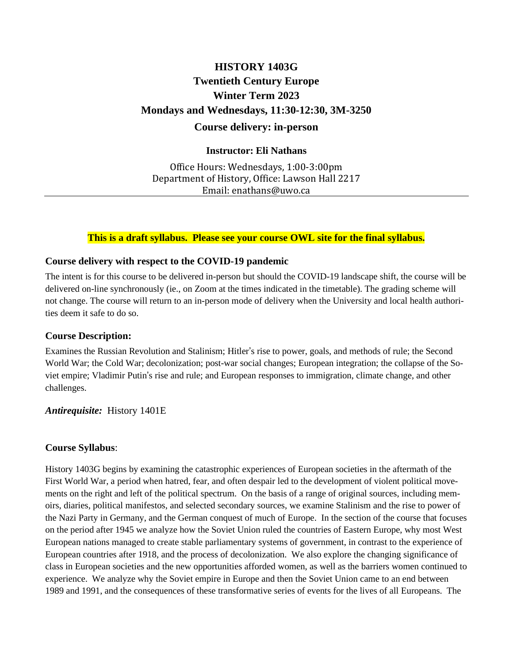# **HISTORY 1403G Twentieth Century Europe Winter Term 2023 Mondays and Wednesdays, 11:30-12:30, 3M-3250 Course delivery: in-person**

## **Instructor: Eli Nathans**

Office Hours: Wednesdays, 1:00-3:00pm Department of History, Office: Lawson Hall 2217 Email: enathans@uwo.ca

## **This is a draft syllabus. Please see your course OWL site for the final syllabus.**

## **Course delivery with respect to the COVID-19 pandemic**

The intent is for this course to be delivered in-person but should the COVID-19 landscape shift, the course will be delivered on-line synchronously (ie., on Zoom at the times indicated in the timetable). The grading scheme will not change. The course will return to an in-person mode of delivery when the University and local health authorities deem it safe to do so.

## **Course Description:**

Examines the Russian Revolution and Stalinism; Hitler's rise to power, goals, and methods of rule; the Second World War; the Cold War; decolonization; post-war social changes; European integration; the collapse of the Soviet empire; Vladimir Putin's rise and rule; and European responses to immigration, climate change, and other challenges.

## *Antirequisite:* History 1401E

## **Course Syllabus**:

History 1403G begins by examining the catastrophic experiences of European societies in the aftermath of the First World War, a period when hatred, fear, and often despair led to the development of violent political movements on the right and left of the political spectrum. On the basis of a range of original sources, including memoirs, diaries, political manifestos, and selected secondary sources, we examine Stalinism and the rise to power of the Nazi Party in Germany, and the German conquest of much of Europe. In the section of the course that focuses on the period after 1945 we analyze how the Soviet Union ruled the countries of Eastern Europe, why most West European nations managed to create stable parliamentary systems of government, in contrast to the experience of European countries after 1918, and the process of decolonization. We also explore the changing significance of class in European societies and the new opportunities afforded women, as well as the barriers women continued to experience. We analyze why the Soviet empire in Europe and then the Soviet Union came to an end between 1989 and 1991, and the consequences of these transformative series of events for the lives of all Europeans. The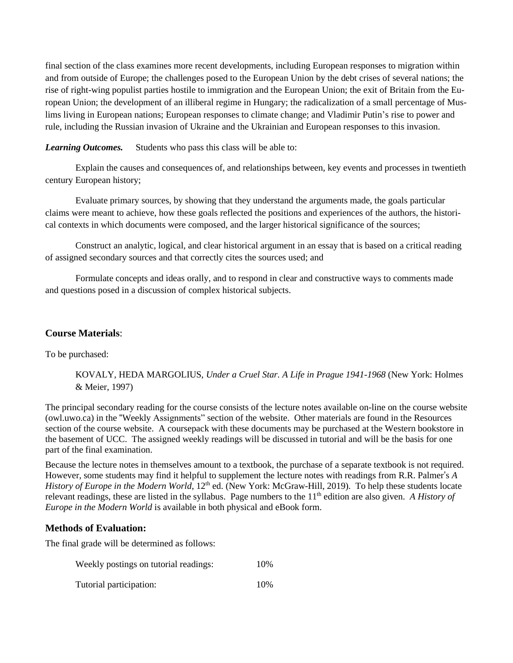final section of the class examines more recent developments, including European responses to migration within and from outside of Europe; the challenges posed to the European Union by the debt crises of several nations; the rise of right-wing populist parties hostile to immigration and the European Union; the exit of Britain from the European Union; the development of an illiberal regime in Hungary; the radicalization of a small percentage of Muslims living in European nations; European responses to climate change; and Vladimir Putin's rise to power and rule, including the Russian invasion of Ukraine and the Ukrainian and European responses to this invasion.

*Learning Outcomes.* Students who pass this class will be able to:

Explain the causes and consequences of, and relationships between, key events and processes in twentieth century European history;

Evaluate primary sources, by showing that they understand the arguments made, the goals particular claims were meant to achieve, how these goals reflected the positions and experiences of the authors, the historical contexts in which documents were composed, and the larger historical significance of the sources;

Construct an analytic, logical, and clear historical argument in an essay that is based on a critical reading of assigned secondary sources and that correctly cites the sources used; and

Formulate concepts and ideas orally, and to respond in clear and constructive ways to comments made and questions posed in a discussion of complex historical subjects.

### **Course Materials**:

To be purchased:

KOVALY, HEDA MARGOLIUS, *Under a Cruel Star. A Life in Prague 1941-1968* (New York: Holmes & Meier, 1997)

The principal secondary reading for the course consists of the lecture notes available on-line on the course website (owl.uwo.ca) in the "Weekly Assignments" section of the website. Other materials are found in the Resources section of the course website. A coursepack with these documents may be purchased at the Western bookstore in the basement of UCC. The assigned weekly readings will be discussed in tutorial and will be the basis for one part of the final examination.

Because the lecture notes in themselves amount to a textbook, the purchase of a separate textbook is not required. However, some students may find it helpful to supplement the lecture notes with readings from R.R. Palmer's *A History of Europe in the Modern World*, 12th ed. (New York: McGraw-Hill, 2019). To help these students locate relevant readings, these are listed in the syllabus. Page numbers to the 11th edition are also given. *A History of Europe in the Modern World* is available in both physical and eBook form.

### **Methods of Evaluation:**

The final grade will be determined as follows:

| Weekly postings on tutorial readings: | 10% |
|---------------------------------------|-----|
| Tutorial participation:               | 10% |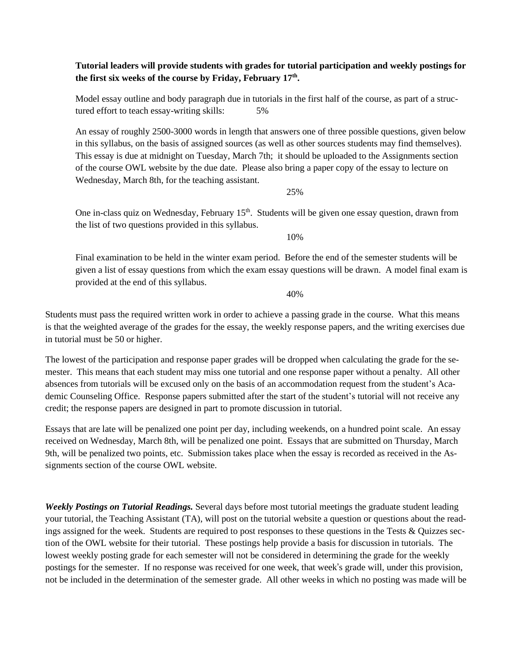### **Tutorial leaders will provide students with grades for tutorial participation and weekly postings for the first six weeks of the course by Friday, February 17th .**

Model essay outline and body paragraph due in tutorials in the first half of the course, as part of a structured effort to teach essay-writing skills: 5%

An essay of roughly 2500-3000 words in length that answers one of three possible questions, given below in this syllabus, on the basis of assigned sources (as well as other sources students may find themselves). This essay is due at midnight on Tuesday, March 7th; it should be uploaded to the Assignments section of the course OWL website by the due date. Please also bring a paper copy of the essay to lecture on Wednesday, March 8th, for the teaching assistant.

25%

One in-class quiz on Wednesday, February 15<sup>th</sup>. Students will be given one essay question, drawn from the list of two questions provided in this syllabus.

10%

Final examination to be held in the winter exam period. Before the end of the semester students will be given a list of essay questions from which the exam essay questions will be drawn. A model final exam is provided at the end of this syllabus.

40%

Students must pass the required written work in order to achieve a passing grade in the course. What this means is that the weighted average of the grades for the essay, the weekly response papers, and the writing exercises due in tutorial must be 50 or higher.

The lowest of the participation and response paper grades will be dropped when calculating the grade for the semester. This means that each student may miss one tutorial and one response paper without a penalty. All other absences from tutorials will be excused only on the basis of an accommodation request from the student's Academic Counseling Office. Response papers submitted after the start of the student's tutorial will not receive any credit; the response papers are designed in part to promote discussion in tutorial.

Essays that are late will be penalized one point per day, including weekends, on a hundred point scale. An essay received on Wednesday, March 8th, will be penalized one point. Essays that are submitted on Thursday, March 9th, will be penalized two points, etc. Submission takes place when the essay is recorded as received in the Assignments section of the course OWL website.

*Weekly Postings on Tutorial Readings.* Several days before most tutorial meetings the graduate student leading your tutorial, the Teaching Assistant (TA), will post on the tutorial website a question or questions about the readings assigned for the week. Students are required to post responses to these questions in the Tests & Quizzes section of the OWL website for their tutorial. These postings help provide a basis for discussion in tutorials. The lowest weekly posting grade for each semester will not be considered in determining the grade for the weekly postings for the semester. If no response was received for one week, that week's grade will, under this provision, not be included in the determination of the semester grade. All other weeks in which no posting was made will be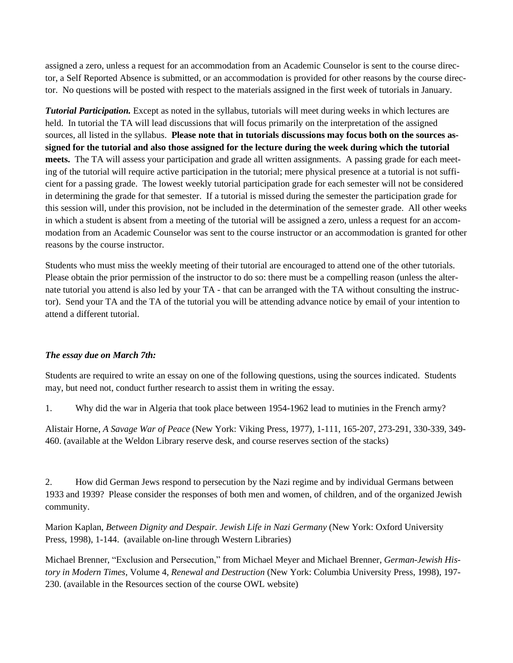assigned a zero, unless a request for an accommodation from an Academic Counselor is sent to the course director, a Self Reported Absence is submitted, or an accommodation is provided for other reasons by the course director. No questions will be posted with respect to the materials assigned in the first week of tutorials in January.

*Tutorial Participation.* Except as noted in the syllabus, tutorials will meet during weeks in which lectures are held. In tutorial the TA will lead discussions that will focus primarily on the interpretation of the assigned sources, all listed in the syllabus. **Please note that in tutorials discussions may focus both on the sources as**signed for the tutorial and also those assigned for the lecture during the week during which the tutorial **meets.** The TA will assess your participation and grade all written assignments. A passing grade for each meeting of the tutorial will require active participation in the tutorial; mere physical presence at a tutorial is not sufficient for a passing grade. The lowest weekly tutorial participation grade for each semester will not be considered in determining the grade for that semester. If a tutorial is missed during the semester the participation grade for this session will, under this provision, not be included in the determination of the semester grade. All other weeks in which a student is absent from a meeting of the tutorial will be assigned a zero, unless a request for an accommodation from an Academic Counselor was sent to the course instructor or an accommodation is granted for other reasons by the course instructor.

Students who must miss the weekly meeting of their tutorial are encouraged to attend one of the other tutorials. Please obtain the prior permission of the instructor to do so: there must be a compelling reason (unless the alternate tutorial you attend is also led by your TA - that can be arranged with the TA without consulting the instructor). Send your TA and the TA of the tutorial you will be attending advance notice by email of your intention to attend a different tutorial.

## *The essay due on March 7th:*

Students are required to write an essay on one of the following questions, using the sources indicated. Students may, but need not, conduct further research to assist them in writing the essay.

1. Why did the war in Algeria that took place between 1954-1962 lead to mutinies in the French army?

Alistair Horne, *A Savage War of Peace* (New York: Viking Press, 1977), 1-111, 165-207, 273-291, 330-339, 349- 460. (available at the Weldon Library reserve desk, and course reserves section of the stacks)

2. How did German Jews respond to persecution by the Nazi regime and by individual Germans between 1933 and 1939? Please consider the responses of both men and women, of children, and of the organized Jewish community.

Marion Kaplan, *Between Dignity and Despair. Jewish Life in Nazi Germany* (New York: Oxford University Press, 1998), 1-144. (available on-line through Western Libraries)

Michael Brenner, "Exclusion and Persecution," from Michael Meyer and Michael Brenner, *German-Jewish History in Modern Times*, Volume 4, *Renewal and Destruction* (New York: Columbia University Press, 1998), 197- 230. (available in the Resources section of the course OWL website)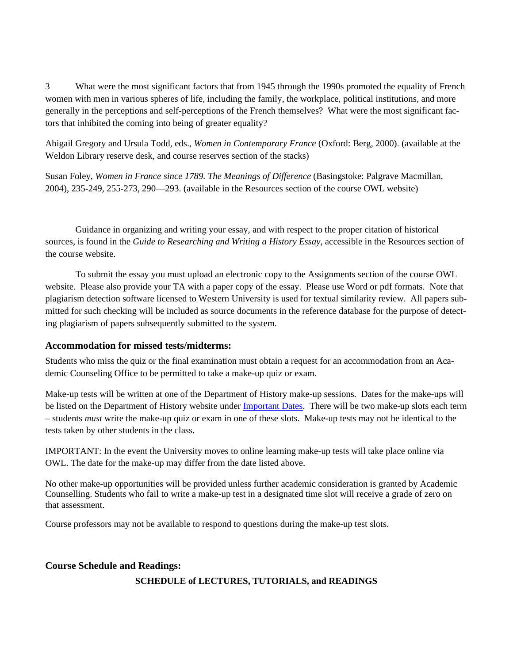3 What were the most significant factors that from 1945 through the 1990s promoted the equality of French women with men in various spheres of life, including the family, the workplace, political institutions, and more generally in the perceptions and self-perceptions of the French themselves? What were the most significant factors that inhibited the coming into being of greater equality?

Abigail Gregory and Ursula Todd, eds., *Women in Contemporary France* (Oxford: Berg, 2000). (available at the Weldon Library reserve desk, and course reserves section of the stacks)

Susan Foley, *Women in France since 1789. The Meanings of Difference* (Basingstoke: Palgrave Macmillan, 2004), 235-249, 255-273, 290—293. (available in the Resources section of the course OWL website)

Guidance in organizing and writing your essay, and with respect to the proper citation of historical sources, is found in the *Guide to Researching and Writing a History Essay*, accessible in the Resources section of the course website.

To submit the essay you must upload an electronic copy to the Assignments section of the course OWL website. Please also provide your TA with a paper copy of the essay. Please use Word or pdf formats. Note that plagiarism detection software licensed to Western University is used for textual similarity review. All papers submitted for such checking will be included as source documents in the reference database for the purpose of detecting plagiarism of papers subsequently submitted to the system.

## **Accommodation for missed tests/midterms:**

Students who miss the quiz or the final examination must obtain a request for an accommodation from an Academic Counseling Office to be permitted to take a make-up quiz or exam.

Make-up tests will be written at one of the Department of History make-up sessions. Dates for the make-ups will be listed on the Department of History website under [Important](https://www.history.uwo.ca/undergraduate/program_information/important_dates.html) Dates. There will be two make-up slots each term – students *must* write the make-up quiz or exam in one of these slots. Make-up tests may not be identical to the tests taken by other students in the class.

IMPORTANT: In the event the University moves to online learning make-up tests will take place online via OWL. The date for the make-up may differ from the date listed above.

No other make-up opportunities will be provided unless further academic consideration is granted by Academic Counselling. Students who fail to write a make-up test in a designated time slot will receive a grade of zero on that assessment.

Course professors may not be available to respond to questions during the make-up test slots.

### **Course Schedule and Readings:**

### **SCHEDULE of LECTURES, TUTORIALS, and READINGS**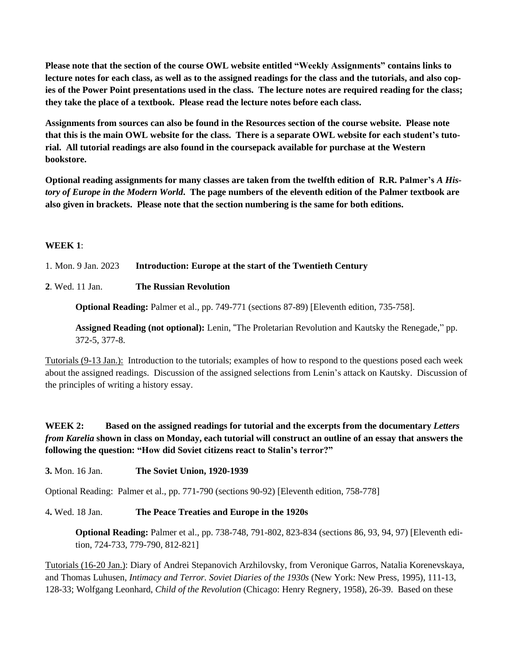**Please note that the section of the course OWL website entitled "Weekly Assignments" contains links to** lecture notes for each class, as well as to the assigned readings for the class and the tutorials, and also copies of the Power Point presentations used in the class. The lecture notes are required reading for the class; **they take the place of a textbook. Please read the lecture notes before each class.**

**Assignments from sources can also be found in the Resources section of the course website. Please note** that this is the main OWL website for the class. There is a separate OWL website for each student's tuto**rial. All tutorial readings are also found in the coursepack available for purchase at the Western bookstore.**

**Optional reading assignments for many classes are taken from the twelfth edition of R.R. Palmer's** *A His*tory of Europe in the Modern World. The page numbers of the eleventh edition of the Palmer textbook are **also given in brackets. Please note that the section numbering is the same for both editions.**

### **WEEK 1**:

1. Mon. 9 Jan. 2023 **Introduction: Europe at the start of the Twentieth Century**

### **2**. Wed. 11 Jan. **The Russian Revolution**

**Optional Reading:** Palmer et al., pp. 749-771 (sections 87-89) [Eleventh edition, 735-758].

**Assigned Reading (not optional):** Lenin, "The Proletarian Revolution and Kautsky the Renegade," pp. 372-5, 377-8.

Tutorials (9-13 Jan.): Introduction to the tutorials; examples of how to respond to the questions posed each week about the assigned readings. Discussion of the assigned selections from Lenin's attack on Kautsky. Discussion of the principles of writing a history essay.

## **WEEK 2: Based on the assigned readings for tutorial and the excerpts from the documentary** *Letters* from Karelia shown in class on Monday, each tutorial will construct an outline of an essay that answers the **following the question: "How did Soviet citizens react to Stalin's terror?"**

**3.** Mon. 16 Jan. **The Soviet Union, 1920-1939**

Optional Reading: Palmer et al., pp. 771-790 (sections 90-92) [Eleventh edition, 758-778]

4**.** Wed. 18 Jan. **The Peace Treaties and Europe in the 1920s**

**Optional Reading:** Palmer et al., pp. 738-748, 791-802, 823-834 (sections 86, 93, 94, 97) [Eleventh edition, 724-733, 779-790, 812-821]

Tutorials (16-20 Jan.): Diary of Andrei Stepanovich Arzhilovsky, from Veronique Garros, Natalia Korenevskaya, and Thomas Luhusen, *Intimacy and Terror. Soviet Diaries of the 1930s* (New York: New Press, 1995), 111-13, 128-33; Wolfgang Leonhard, *Child of the Revolution* (Chicago: Henry Regnery, 1958), 26-39. Based on these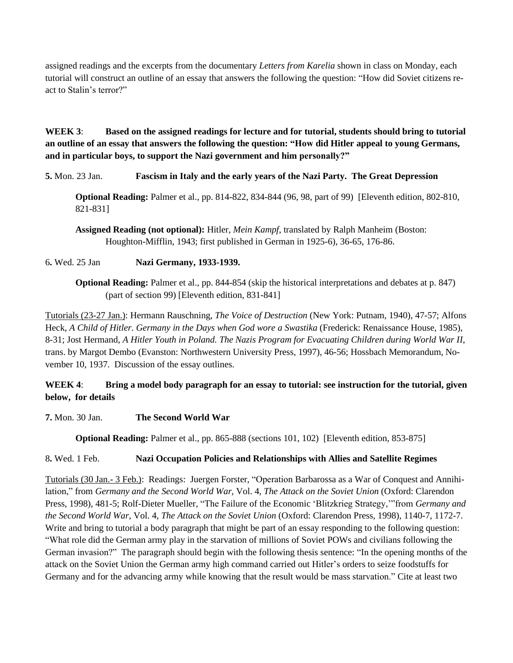assigned readings and the excerpts from the documentary *Letters from Karelia* shown in class on Monday, each tutorial will construct an outline of an essay that answers the following the question: "How did Soviet citizens react to Stalin's terror?"

**WEEK 3**: **Based on the assigned readings for lecture and for tutorial, students should bring to tutorial** an outline of an essay that answers the following the question: "How did Hitler appeal to young Germans, **and in particular boys, to support the Nazi government and him personally?"**

**5.** Mon. 23 Jan. **Fascism in Italy and the early years of the Nazi Party. The Great Depression**

**Optional Reading:** Palmer et al., pp. 814-822, 834-844 (96, 98, part of 99) [Eleventh edition, 802-810, 821-831]

**Assigned Reading (not optional):** Hitler, *Mein Kampf*, translated by Ralph Manheim (Boston: Houghton-Mifflin, 1943; first published in German in 1925-6), 36-65, 176-86.

## 6**.** Wed. 25 Jan **Nazi Germany, 1933-1939.**

**Optional Reading:** Palmer et al., pp. 844-854 (skip the historical interpretations and debates at p. 847) (part of section 99) [Eleventh edition, 831-841]

Tutorials (23-27 Jan.): Hermann Rauschning, *The Voice of Destruction* (New York: Putnam, 1940), 47-57; Alfons Heck, *A Child of Hitler. Germany in the Days when God wore a Swastika* (Frederick: Renaissance House, 1985), 8-31; Jost Hermand, *A Hitler Youth in Poland. The Nazis Program for Evacuating Children during World War II*, trans. by Margot Dembo (Evanston: Northwestern University Press, 1997), 46-56; Hossbach Memorandum, November 10, 1937. Discussion of the essay outlines.

## WEEK 4: Bring a model body paragraph for an essay to tutorial: see instruction for the tutorial, given **below, for details**

**7.** Mon. 30 Jan. **The Second World War**

**Optional Reading:** Palmer et al., pp. 865-888 (sections 101, 102) [Eleventh edition, 853-875]

## 8**.** Wed. 1 Feb. **Nazi Occupation Policies and Relationships with Allies and Satellite Regimes**

Tutorials (30 Jan.- 3 Feb.): Readings: Juergen Forster, "Operation Barbarossa as a War of Conquest and Annihilation," from *Germany and the Second World War,* Vol. 4, *The Attack on the Soviet Union* (Oxford: Clarendon Press, 1998), 481-5; Rolf-Dieter Mueller, "The Failure of the Economic 'Blitzkrieg Strategy,'"from *Germany and the Second World War*, Vol. 4, *The Attack on the Soviet Union* (Oxford: Clarendon Press, 1998), 1140-7, 1172-7. Write and bring to tutorial a body paragraph that might be part of an essay responding to the following question: "What role did the German army play in the starvation of millions of Soviet POWs and civilians following the German invasion?" The paragraph should begin with the following thesis sentence: "In the opening months of the attack on the Soviet Union the German army high command carried out Hitler's orders to seize foodstuffs for Germany and for the advancing army while knowing that the result would be mass starvation." Cite at least two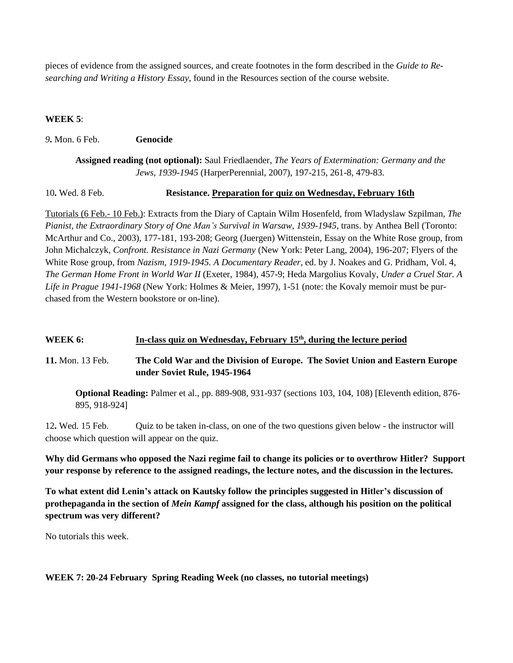pieces of evidence from the assigned sources, and create footnotes in the form described in the *Guide to Researching and Writing a History Essay*, found in the Resources section of the course website.

### **WEEK 5**:

### *9***.** Mon. 6 Feb. **Genocide**

**Assigned reading (not optional):** Saul Friedlaender, *The Years of Extermination: Germany and the Jews, 1939-1945* (HarperPerennial, 2007), 197-215, 261-8, 479-83.

10**.** Wed. 8 Feb. **Resistance. Preparation for quiz on Wednesday, February 16th**

Tutorials (6 Feb.- 10 Feb.): Extracts from the Diary of Captain Wilm Hosenfeld, from Wladyslaw Szpilman, *The Pianist, the Extraordinary Story of One Man's Survival in Warsaw, 1939-1945*, trans. by Anthea Bell (Toronto: McArthur and Co., 2003), 177-181, 193-208; Georg (Juergen) Wittenstein, Essay on the White Rose group, from John Michalczyk, *Confront. Resistance in Nazi Germany* (New York: Peter Lang, 2004), 196-207; Flyers of the White Rose group, from *Nazism, 1919-1945. A Documentary Reader,* ed. by J. Noakes and G. Pridham, Vol. 4, *The German Home Front in World War II* (Exeter, 1984), 457-9; Heda Margolius Kovaly, *Under a Cruel Star. A Life in Prague 1941-1968* (New York: Holmes & Meier, 1997), 1-51 (note: the Kovaly memoir must be purchased from the Western bookstore or on-line).

### **WEEK 6: In-class quiz on Wednesday, February 15th , during the lecture period**

**11.** Mon. 13 Feb. **The Cold War and the Division of Europe. The Soviet Union and Eastern Europe under Soviet Rule, 1945-1964**

**Optional Reading:** Palmer et al., pp. 889-908, 931-937 (sections 103, 104, 108) [Eleventh edition, 876- 895, 918-924]

12**.** Wed. 15 Feb. Quiz to be taken in-class, on one of the two questions given below - the instructor will choose which question will appear on the quiz.

**Why did Germans who opposed the Nazi regime fail to change its policies or to overthrow Hitler? Support** your response by reference to the assigned readings, the lecture notes, and the discussion in the lectures.

**To what extent did Lenin's attack on Kautsky follow the principles suggested in Hitler's discussion of prothepaganda in the section of** *Mein Kampf* **assigned for the class, although his position on the political spectrum was very different?**

No tutorials this week.

### **WEEK 7: 20-24 February Spring Reading Week (no classes, no tutorial meetings)**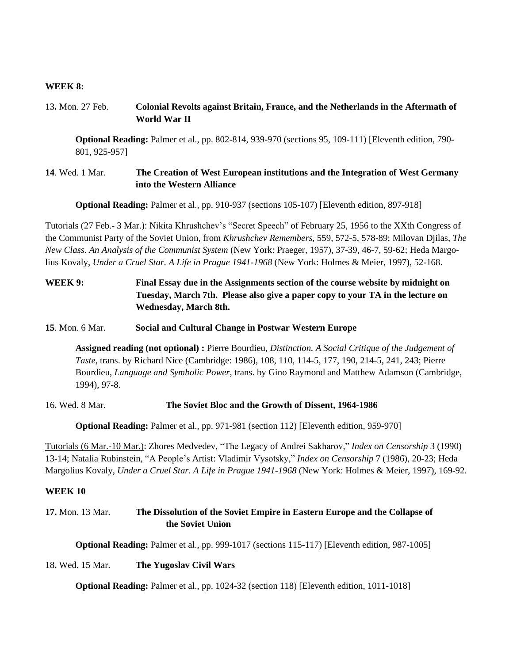#### **WEEK 8:**

## 13**.** Mon. 27 Feb. **Colonial Revolts against Britain, France, and the Netherlands in the Aftermath of World War II**

**Optional Reading:** Palmer et al., pp. 802-814, 939-970 (sections 95, 109-111) [Eleventh edition, 790- 801, 925-957]

### **14**. Wed. 1 Mar. **The Creation of West European institutions and the Integration of West Germany into the Western Alliance**

**Optional Reading:** Palmer et al., pp. 910-937 (sections 105-107) [Eleventh edition, 897-918]

Tutorials (27 Feb.- 3 Mar.): Nikita Khrushchev's "Secret Speech" of February 25, 1956 to the XXth Congress of the Communist Party of the Soviet Union, from *Khrushchev Remembers*, 559, 572-5, 578-89; Milovan Djilas, *The New Class. An Analysis of the Communist System* (New York: Praeger, 1957), 37-39, 46-7, 59-62; Heda Margolius Kovaly, *Under a Cruel Star. A Life in Prague 1941-1968* (New York: Holmes & Meier, 1997), 52-168.

## **WEEK 9: Final Essay due in the Assignments section of the course website by midnight on Tuesday, March 7th. Please also give a paper copy to your TA in the lecture on Wednesday, March 8th.**

### **15**. Mon. 6 Mar. **Social and Cultural Change in Postwar Western Europe**

**Assigned reading (not optional) :** Pierre Bourdieu, *Distinction. A Social Critique of the Judgement of Taste*, trans. by Richard Nice (Cambridge: 1986), 108, 110, 114-5, 177, 190, 214-5, 241, 243; Pierre Bourdieu, *Language and Symbolic Power*, trans. by Gino Raymond and Matthew Adamson (Cambridge, 1994), 97-8.

### 16**.** Wed. 8 Mar. **The Soviet Bloc and the Growth of Dissent, 1964-1986**

**Optional Reading:** Palmer et al., pp. 971-981 (section 112) [Eleventh edition, 959-970]

Tutorials (6 Mar.-10 Mar.): Zhores Medvedev, "The Legacy of Andrei Sakharov," *Index on Censorship* 3 (1990) 13-14; Natalia Rubinstein, "A People's Artist: Vladimir Vysotsky," *Index on Censorship* 7 (1986), 20-23; Heda Margolius Kovaly, *Under a Cruel Star. A Life in Prague 1941-1968* (New York: Holmes & Meier, 1997), 169-92.

#### **WEEK 10**

**17.** Mon. 13 Mar. **The Dissolution of the Soviet Empire in Eastern Europe and the Collapse of the Soviet Union**

**Optional Reading:** Palmer et al., pp. 999-1017 (sections 115-117) [Eleventh edition, 987-1005]

#### 18**.** Wed. 15 Mar. **The Yugoslav Civil Wars**

**Optional Reading:** Palmer et al., pp. 1024-32 (section 118) [Eleventh edition, 1011-1018]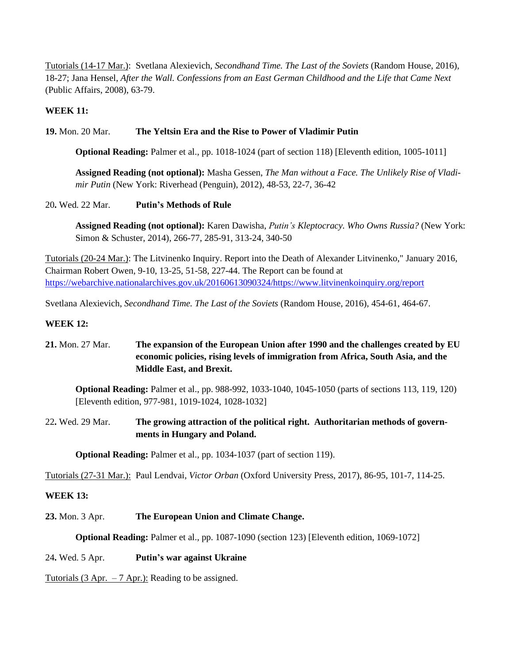Tutorials (14-17 Mar.): Svetlana Alexievich, *Secondhand Time. The Last of the Soviets* (Random House, 2016), 18-27; Jana Hensel, *After the Wall. Confessions from an East German Childhood and the Life that Came Next* (Public Affairs, 2008), 63-79.

### **WEEK 11:**

## **19.** Mon. 20 Mar. **The Yeltsin Era and the Rise to Power of Vladimir Putin**

**Optional Reading:** Palmer et al., pp. 1018-1024 (part of section 118) [Eleventh edition, 1005-1011]

**Assigned Reading (not optional):** Masha Gessen, *The Man without a Face. The Unlikely Rise of Vladimir Putin* (New York: Riverhead (Penguin), 2012), 48-53, 22-7, 36-42

### 20**.** Wed. 22 Mar. **Putin's Methods of Rule**

**Assigned Reading (not optional):** Karen Dawisha, *Putin's Kleptocracy. Who Owns Russia?* (New York: Simon & Schuster, 2014), 266-77, 285-91, 313-24, 340-50

Tutorials (20-24 Mar.): The Litvinenko Inquiry. Report into the Death of Alexander Litvinenko," January 2016, Chairman Robert Owen, 9-10, 13-25, 51-58, 227-44. The Report can be found at [https://webarchive.nationalarchives.gov.uk/20160613090324/https://www.litvinenkoinquiry.org/report](https://webarchive.nationalarchives.gov.uk/20160613090324/https:/www.litvinenkoinquiry.org/report)

Svetlana Alexievich, *Secondhand Time. The Last of the Soviets* (Random House, 2016), 454-61, 464-67.

### **WEEK 12:**

## **21.** Mon. 27 Mar. **The expansion of the European Union after 1990 and the challenges created by EU economic policies, rising levels of immigration from Africa, South Asia, and the Middle East, and Brexit.**

**Optional Reading:** Palmer et al., pp. 988-992, 1033-1040, 1045-1050 (parts of sections 113, 119, 120) [Eleventh edition, 977-981, 1019-1024, 1028-1032]

## 22**.** Wed. 29 Mar. **The growing attraction of the political right. Authoritarian methods of governments in Hungary and Poland.**

**Optional Reading:** Palmer et al., pp. 1034-1037 (part of section 119).

Tutorials (27-31 Mar.): Paul Lendvai, *Victor Orban* (Oxford University Press, 2017), 86-95, 101-7, 114-25.

### **WEEK 13:**

**23.** Mon. 3 Apr. **The European Union and Climate Change.**

**Optional Reading:** Palmer et al., pp. 1087-1090 (section 123) [Eleventh edition, 1069-1072]

### 24**.** Wed. 5 Apr. **Putin's war against Ukraine**

Tutorials (3 Apr.  $-7$  Apr.): Reading to be assigned.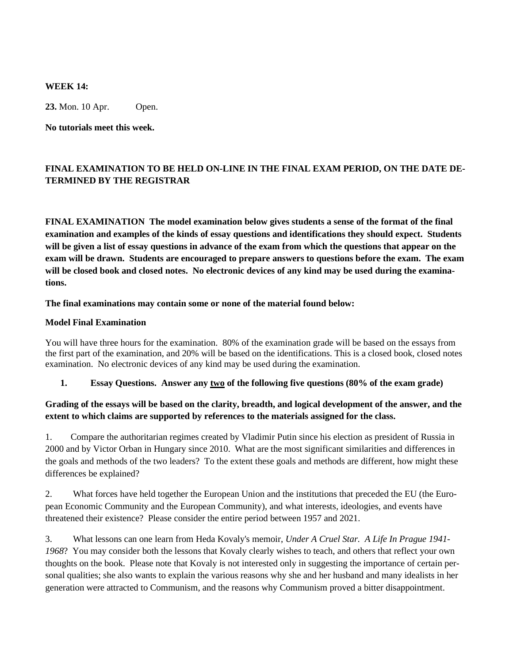#### **WEEK 14:**

**23.** Mon. 10 Apr. Open.

**No tutorials meet this week.**

## **FINAL EXAMINATION TO BE HELD ON-LINE IN THE FINAL EXAM PERIOD, ON THE DATE DE-TERMINED BY THE REGISTRAR**

**FINAL EXAMINATION The model examination below gives students a sense of the format of the final examination and examples of the kinds of essay questions and identifications they should expect. Students** will be given a list of essay questions in advance of the exam from which the questions that appear on the **exam will be drawn. Students are encouraged to prepare answers to questions before the exam. The exam** will be closed book and closed notes. No electronic devices of any kind may be used during the examina**tions.**

**The final examinations may contain some or none of the material found below:**

### **Model Final Examination**

You will have three hours for the examination. 80% of the examination grade will be based on the essays from the first part of the examination, and 20% will be based on the identifications. This is a closed book, closed notes examination. No electronic devices of any kind may be used during the examination.

### **1. Essay Questions. Answer any two of the following five questions (80% of the exam grade)**

## Grading of the essays will be based on the clarity, breadth, and logical development of the answer, and the **extent to which claims are supported by references to the materials assigned for the class.**

1. Compare the authoritarian regimes created by Vladimir Putin since his election as president of Russia in 2000 and by Victor Orban in Hungary since 2010. What are the most significant similarities and differences in the goals and methods of the two leaders? To the extent these goals and methods are different, how might these differences be explained?

2. What forces have held together the European Union and the institutions that preceded the EU (the European Economic Community and the European Community), and what interests, ideologies, and events have threatened their existence? Please consider the entire period between 1957 and 2021.

3. What lessons can one learn from Heda Kovaly's memoir, *Under A Cruel Star. A Life In Prague 1941- 1968*? You may consider both the lessons that Kovaly clearly wishes to teach, and others that reflect your own thoughts on the book. Please note that Kovaly is not interested only in suggesting the importance of certain personal qualities; she also wants to explain the various reasons why she and her husband and many idealists in her generation were attracted to Communism, and the reasons why Communism proved a bitter disappointment.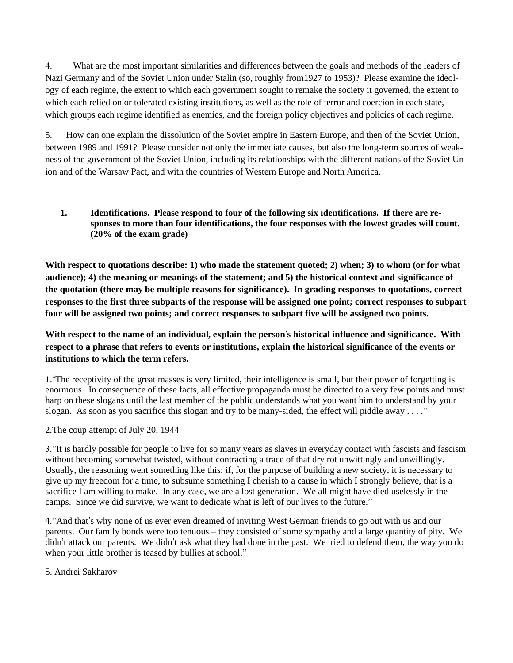4. What are the most important similarities and differences between the goals and methods of the leaders of Nazi Germany and of the Soviet Union under Stalin (so, roughly from1927 to 1953)? Please examine the ideology of each regime, the extent to which each government sought to remake the society it governed, the extent to which each relied on or tolerated existing institutions, as well as the role of terror and coercion in each state, which groups each regime identified as enemies, and the foreign policy objectives and policies of each regime.

5. How can one explain the dissolution of the Soviet empire in Eastern Europe, and then of the Soviet Union, between 1989 and 1991? Please consider not only the immediate causes, but also the long-term sources of weakness of the government of the Soviet Union, including its relationships with the different nations of the Soviet Union and of the Warsaw Pact, and with the countries of Western Europe and North America.

## **1. Identifications. Please respond to four of the following six identifications. If there are responses to more than four identifications, the four responses with the lowest grades will count. (20% of the exam grade)**

With respect to quotations describe: 1) who made the statement quoted; 2) when; 3) to whom (or for what **audience); 4) the meaning or meanings of the statement; and 5) the historical context and significance of the quotation (there may be multiple reasons for significance). In grading responses to quotations, correct** responses to the first three subparts of the response will be assigned one point; correct responses to subpart **four will be assigned two points; and correct responses to subpart five will be assigned two points.**

## **With respect to the name of an individual, explain the person**'**s historical influence and significance. With** respect to a phrase that refers to events or institutions, explain the historical significance of the events or **institutions to which the term refers.**

1."The receptivity of the great masses is very limited, their intelligence is small, but their power of forgetting is enormous. In consequence of these facts, all effective propaganda must be directed to a very few points and must harp on these slogans until the last member of the public understands what you want him to understand by your slogan. As soon as you sacrifice this slogan and try to be many-sided, the effect will piddle away . . . ."

## 2.The coup attempt of July 20, 1944

3."It is hardly possible for people to live for so many years as slaves in everyday contact with fascists and fascism without becoming somewhat twisted, without contracting a trace of that dry rot unwittingly and unwillingly. Usually, the reasoning went something like this: if, for the purpose of building a new society, it is necessary to give up my freedom for a time, to subsume something I cherish to a cause in which I strongly believe, that is a sacrifice I am willing to make. In any case, we are a lost generation. We all might have died uselessly in the camps. Since we did survive, we want to dedicate what is left of our lives to the future."

4."And that's why none of us ever even dreamed of inviting West German friends to go out with us and our parents. Our family bonds were too tenuous – they consisted of some sympathy and a large quantity of pity. We didn't attack our parents. We didn't ask what they had done in the past. We tried to defend them, the way you do when your little brother is teased by bullies at school."

## 5. Andrei Sakharov